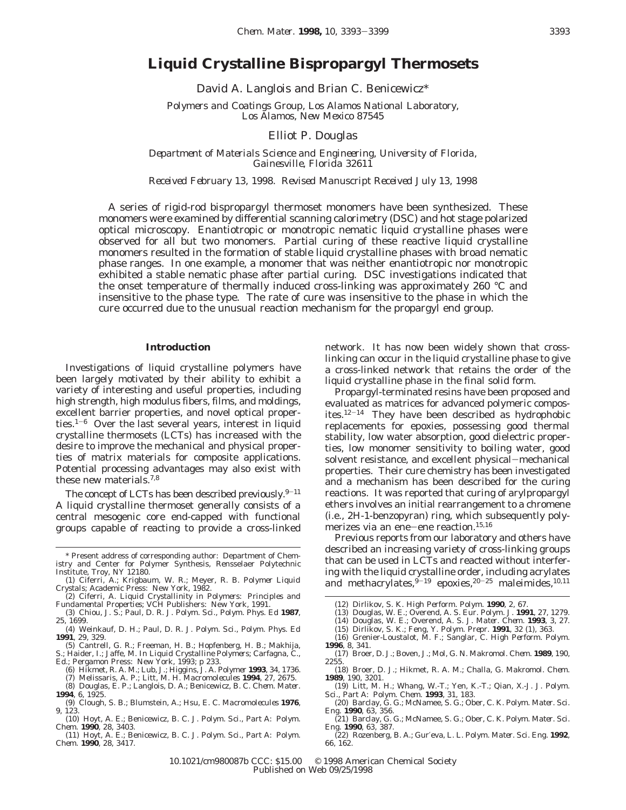# **Liquid Crystalline Bispropargyl Thermosets**

David A. Langlois and Brian C. Benicewicz\*

*Polymers and Coatings Group, Los Alamos National Laboratory, Los Alamos, New Mexico 87545*

Elliot P. Douglas

*Department of Materials Science and Engineering, University of Florida, Gainesville, Florida 32611*

*Received February 13, 1998. Revised Manuscript Received July 13, 1998*

A series of rigid-rod bispropargyl thermoset monomers have been synthesized. These monomers were examined by differential scanning calorimetry (DSC) and hot stage polarized optical microscopy. Enantiotropic or monotropic nematic liquid crystalline phases were observed for all but two monomers. Partial curing of these reactive liquid crystalline monomers resulted in the formation of stable liquid crystalline phases with broad nematic phase ranges. In one example, a monomer that was neither enantiotropic nor monotropic exhibited a stable nematic phase after partial curing. DSC investigations indicated that the onset temperature of thermally induced cross-linking was approximately 260 °C and insensitive to the phase type. The rate of cure was insensitive to the phase in which the cure occurred due to the unusual reaction mechanism for the propargyl end group.

# **Introduction**

Investigations of liquid crystalline polymers have been largely motivated by their ability to exhibit a variety of interesting and useful properties, including high strength, high modulus fibers, films, and moldings, excellent barrier properties, and novel optical properties.<sup>1-6</sup> Over the last several years, interest in liquid crystalline thermosets (LCTs) has increased with the desire to improve the mechanical and physical properties of matrix materials for composite applications. Potential processing advantages may also exist with these new materials.7,8

The concept of LCTs has been described previously. $9-11$ A liquid crystalline thermoset generally consists of a central mesogenic core end-capped with functional groups capable of reacting to provide a cross-linked

- (1) Ciferri, A.; Krigbaum, W. R.; Meyer, R. B. *Polymer Liquid Crystals*; Academic Press: New York, 1982. (2) Ciferri, A. *Liquid Crystallinity in Polymers: Principles and*
- *Fundamental Properties*; VCH Publishers: New York, 1991.
- (3) Chiou, J. S.; Paul, D. R. *J. Polym. Sci., Polym. Phys. Ed* **1987**, *25*, 1699.
- (4) Weinkauf, D. H.; Paul, D. R. *J. Polym. Sci., Polym. Phys. Ed* **1991**, *29*, 329.
- (5) Cantrell, G. R.; Freeman, H. B.; Hopfenberg, H. B.; Makhija, S.; Haider, I.; Jaffe, M. In *Liquid Crystalline Polymers*; Carfagna, C., Ed.; Pergamon Press: New York, 1993; p 233.
- (6) Hikmet, R. A. M.; Lub, J.; Higgins, J. A. *Polymer* **1993**, *34*, 1736.
	- (7) Melissaris, A. P.; Litt, M. H. *Macromolecules* **1994**, *27*, 2675.
- (8) Douglas, E. P.; Langlois, D. A.; Benicewicz, B. C. *Chem. Mater.* **1994**, *6*, 1925.
- (9) Clough, S. B.; Blumstein, A.; Hsu, E. C. *Macromolecules* **1976**, *9*, 123.
- (10) Hoyt, A. E.; Benicewicz, B. C. *J. Polym. Sci., Part A: Polym. Chem.* **1990**, *28*, 3403.
- (11) Hoyt, A. E.; Benicewicz, B. C. *J. Polym. Sci., Part A: Polym. Chem.* **1990**, *28*, 3417.

network. It has now been widely shown that crosslinking can occur in the liquid crystalline phase to give a cross-linked network that retains the order of the liquid crystalline phase in the final solid form.

Propargyl-terminated resins have been proposed and evaluated as matrices for advanced polymeric composites.12-<sup>14</sup> They have been described as hydrophobic replacements for epoxies, possessing good thermal stability, low water absorption, good dielectric properties, low monomer sensitivity to boiling water, good solvent resistance, and excellent physical-mechanical properties. Their cure chemistry has been investigated and a mechanism has been described for the curing reactions. It was reported that curing of arylpropargyl ethers involves an initial rearrangement to a chromene (i.e., 2*H*-1-benzopyran) ring, which subsequently polymerizes via an ene-ene reaction.<sup>15,16</sup>

Previous reports from our laboratory and others have described an increasing variety of cross-linking groups that can be used in LCTs and reacted without interfering with the liquid crystalline order, including acrylates and methacrylates,  $9-19$  epoxies,  $20-25$  maleimides,  $10,11$ 

- (13) Douglas, W. E.; Overend, A. S. *Eur. Polym. J.* **1991**, *27*, 1279.
- (14) Douglas, W. E.; Overend, A. S. *J. Mater. Chem.* **1993**, *3*, 27.
- (15) Dirlikov, S. K.; Feng, Y. *Polym. Prepr.* **1991**, *32* (1), 363. (16) Grenier-Loustalot, M. F.; Sanglar, C. *High Perform. Polym.*
- **1996**, *8*, 341.
- (17) Broer, D. J.; Boven, J.; Mol, G. N. *Makromol. Chem.* **1989**, *190*, 2255.
- (18) Broer, D. J.; Hikmet, R. A. M.; Challa, G. *Makromol. Chem.* **1989**, *190*, 3201.
- (19) Litt, M. H.; Whang, W.-T.; Yen, K.-T.; Qian, X.-J. *J. Polym. Sci., Part A: Polym. Chem.* **1993**, *31*, 183.
- (20) Barclay, G. G.; McNamee, S. G.; Ober, C. K. *Polym. Mater. Sci.*
- *Eng.* **1990**, *63*, 356. (21) Barclay, G. G.; McNamee, S. G.; Ober, C. K. *Polym. Mater. Sci. Eng.* **1990**, *63*, 387.
- (22) Rozenberg, B. A.; Gur′eva, L. L. *Polym. Mater. Sci. Eng.* **1992**, *66*, 162.

10.1021/cm980087b CCC: \$15.00 © 1998 American Chemical Society Published on Web 09/25/1998

<sup>\*</sup> Present address of corresponding author: Department of Chemistry and Center for Polymer Synthesis, Rensselaer Polytechnic Institute, Troy, NY 12180.

<sup>(12)</sup> Dirlikov, S. K. *High Perform. Polym.* **1990**, *2*, 67.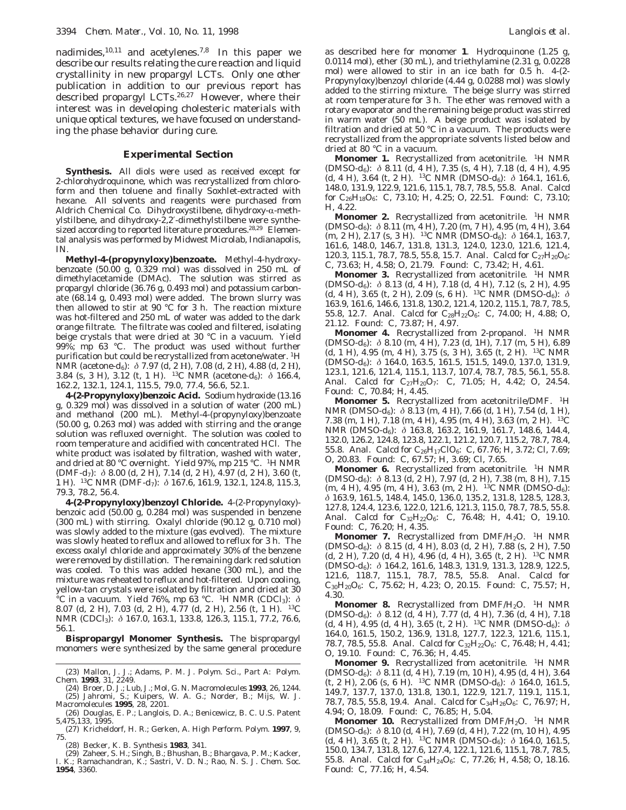nadimides,  $10,11$  and acetylenes.<sup>7,8</sup> In this paper we describe our results relating the cure reaction and liquid crystallinity in new propargyl LCTs. Only one other publication in addition to our previous report has described propargyl LCTs.26,27 However, where their interest was in developing cholesteric materials with unique optical textures, we have focused on understanding the phase behavior during cure.

### **Experimental Section**

**Synthesis.** All diols were used as received except for 2-chlorohydroquinone, which was recrystallized from chloroform and then toluene and finally Soxhlet-extracted with hexane. All solvents and reagents were purchased from Aldrich Chemical Co. Dihydroxystilbene, dihydroxy-α-methylstilbene, and dihydroxy-2,2′-dimethylstilbene were synthesized according to reported literature procedures.<sup>28,29</sup> Elemental analysis was performed by Midwest Microlab, Indianapolis, IN.

**Methyl-4-(propynyloxy)benzoate.** Methyl-4-hydroxybenzoate (50.00 g, 0.329 mol) was dissolved in 250 mL of dimethylacetamide (DMAc). The solution was stirred as propargyl chloride (36.76 g, 0.493 mol) and potassium carbonate (68.14 g, 0.493 mol) were added. The brown slurry was then allowed to stir at 90 °C for 3 h. The reaction mixture was hot-filtered and 250 mL of water was added to the dark orange filtrate. The filtrate was cooled and filtered, isolating beige crystals that were dried at 30 °C in a vacuum. Yield 99%; mp 63 °C. The product was used without further purification but could be recrystallized from acetone/water. 1H NMR (acetone-*d*6): *δ* 7.97 (d, 2 Η), 7.08 (d, 2 Η), 4.88 (d, 2 Η), 3.84 (s, 3 H), 3.12 (t, 1 H). 13C NMR (acetone-*d*6): *δ* 166.4, 162.2, 132.1, 124.1, 115.5, 79.0, 77.4, 56.6, 52.1.

**4-(2-Propynyloxy)benzoic Acid.** Sodium hydroxide (13.16 g, 0.329 mol) was dissolved in a solution of water (200 mL) and methanol (200 mL). Methyl-4-(propynyloxy)benzoate (50.00 g, 0.263 mol) was added with stirring and the orange solution was refluxed overnight. The solution was cooled to room temperature and acidified with concentrated HCl. The white product was isolated by filtration, washed with water, and dried at 80 °C overnight. Yield 97%, mp 215 °C. 1H NMR (DMF-*d*7): *δ* 8.00 (d, 2 H), 7.14 (d, 2 H), 4.97 (d, 2 H), 3.60 (t, 1 H). 13C NMR (DMF-*d*7): *δ* 167.6, 161.9, 132.1, 124.8, 115.3, 79.3, 78.2, 56.4.

**4-(2-Propynyloxy)benzoyl Chloride.** 4-(2-Propynyloxy) benzoic acid (50.00 g, 0.284 mol) was suspended in benzene (300 mL) with stirring. Oxalyl chloride (90.12 g, 0.710 mol) was slowly added to the mixture (gas evolved). The mixture was slowly heated to reflux and allowed to reflux for 3 h. The excess oxalyl chloride and approximately 30% of the benzene were removed by distillation. The remaining dark red solution was cooled. To this was added hexane (300 mL), and the mixture was reheated to reflux and hot-filtered. Upon cooling, yellow-tan crystals were isolated by filtration and dried at 30 <sup>o</sup>C in a vacuum. Yield 76%, mp 63 °C. <sup>1</sup>H NMR (CDCl<sub>3</sub>): δ 8.07 (d, 2 H), 7.03 (d, 2 H), 4.77 (d, 2 H), 2.56 (t, 1 H). 13C NMR (CDCl<sub>3</sub>): δ 167.0, 163.1, 133.8, 126.3, 115.1, 77.2, 76.6, 56.1.

**Bispropargyl Monomer Synthesis.** The bispropargyl monomers were synthesized by the same general procedure

as described here for monomer **1**. Hydroquinone (1.25 g, 0.0114 mol), ether (30 mL), and triethylamine (2.31 g, 0.0228 mol) were allowed to stir in an ice bath for 0.5 h. 4-(2- Propynyloxy)benzoyl chloride (4.44 g, 0.0288 mol) was slowly added to the stirring mixture. The beige slurry was stirred at room temperature for 3 h. The ether was removed with a rotary evaporator and the remaining beige product was stirred in warm water (50 mL). A beige product was isolated by filtration and dried at 50 °C in a vacuum. The products were recrystallized from the appropriate solvents listed below and dried at 80 °C in a vacuum.

**Monomer 1.** Recrystallized from acetonitrile. <sup>1</sup>H NMR (DMSO-*d*6): *δ* 8.11 (d, 4 H), 7.35 (s, 4 H), 7.18 (d, 4 H), 4.95 (d, 4 H), 3.64 (t, 2 H). 13C NMR (DMSO-*d*6): *δ* 164.1, 161.6, 148.0, 131.9, 122.9, 121.6, 115.1, 78.7, 78.5, 55.8. Anal. Calcd for C26H18O6: C, 73.10; H, 4.25; O, 22.51. Found: C, 73.10; H, 4.22.

**Monomer 2.** Recrystallized from acetonitrile. <sup>1</sup>H NMR (DMSO-*d*6): *δ* 8.11 (m, 4 H), 7.20 (m, 7 H), 4.95 (m, 4 H), 3.64 (m, 2 H), 2.17 (s, 3 H). 13C NMR (DMSO-*d*6): *δ* 164.1, 163.7, 161.6, 148.0, 146.7, 131.8, 131.3, 124.0, 123.0, 121.6, 121.4, 120.3, 115.1, 78.7, 78.5, 55.8, 15.7. Anal. Calcd for  $C_{27}H_{20}O_6$ : C, 73.63; H, 4.58; O, 21.79. Found: C, 73.42; H, 4.61.

**Monomer 3.** Recrystallized from acetonitrile. <sup>1</sup>H NMR (DMSO-*d*6): *δ* 8.13 (d, 4 H), 7.18 (d, 4 H), 7.12 (s, 2 H), 4.95 (d, 4 H), 3.65 (t, 2 H), 2.09 (s, 6 H). 13C NMR (DMSO-*d*6): *δ* 163.9, 161.6, 146.6, 131.8, 130.2, 121.4, 120.2, 115.1, 78.7, 78.5, 55.8, 12.7. Anal. Calcd for C<sub>28</sub>H<sub>22</sub>O<sub>6</sub>: C, 74.00; H, 4.88; O, 21.12. Found: C, 73.87; H, 4.97.

**Monomer 4.** Recrystallized from 2-propanol. <sup>1</sup>H NMR (DMSO-*d*6): *δ* 8.10 (m, 4 H), 7.23 (d, 1H), 7.17 (m, 5 H), 6.89 (d, 1 H), 4.95 (m, 4 H), 3.75 (s, 3 H), 3.65 (t, 2 H). 13C NMR (DMSO-*d*<sub>6</sub>): δ 164.0, 163.5, 161.5, 151.5, 149.0, 137.0, 131.9, 123.1, 121.6, 121.4, 115.1, 113.7, 107.4, 78.7, 78.5, 56.1, 55.8. Anal. Calcd for C<sub>27</sub>H<sub>20</sub>O<sub>7</sub>: C, 71.05; H, 4.42; O, 24.54. Found: C, 70.84; H, 4.45.

**Monomer 5.** Recrystallized from acetonitrile/DMF. <sup>1</sup>H NMR (DMSO-*d*6): *δ* 8.13 (m, 4 Η), 7.66 (d, 1 H), 7.54 (d, 1 H), 7.38 (m, 1 H), 7.18 (m, 4 H), 4.95 (m, 4 H), 3.63 (m, 2 H). 13C NMR (DMSO-*d*6): *δ* 163.8, 163.2, 161.9, 161.7, 148.6, 144.4, 132.0, 126.2, 124.8, 123.8, 122.1, 121.2, 120.7, 115.2, 78.7, 78.4, 55.8. Anal. Calcd for C<sub>26</sub>H<sub>17</sub>ClO<sub>6</sub>: C, 67.76; H, 3.72; Cl, 7.69; O, 20.83. Found: C, 67.57; H, 3.69; Cl, 7.65.

**Monomer 6.** Recrystallized from acetonitrile. <sup>1</sup>H NMR (DMSO-*d*6): *δ* 8.13 (d, 2 H), 7.97 (d, 2 H), 7.38 (m, 8 H), 7.15 (m, 4 H), 4.95 (m, 4 H), 3.63 (m, 2 H). 13C NMR (DMSO-*d*6): *δ* 163.9, 161.5, 148.4, 145.0, 136.0, 135.2, 131.8, 128.5, 128.3, 127.8, 124.4, 123.6, 122.0, 121.6, 121.3, 115.0, 78.7, 78.5, 55.8. Anal. Calcd for C<sub>32</sub>H<sub>22</sub>O<sub>6</sub>: C, 76.48; H, 4.41; O, 19.10. Found: C, 76.20; H, 4.35.

**Monomer 7.** Recrystallized from DMF/H<sub>2</sub>O. <sup>1</sup>H NMR (DMSO-*d*6): *δ* 8.15 (d, 4 H), 8.03 (d, 2 H), 7.88 (s, 2 H), 7.50 (d, 2 H), 7.20 (d, 4 H), 4.96 (d, 4 H), 3.65 (t, 2 H). 13C NMR (DMSO-*d*6): *δ* 164.2, 161.6, 148.3, 131.9, 131.3, 128.9, 122.5, 121.6, 118.7, 115.1, 78.7, 78.5, 55.8. Anal. Calcd for  $C_{30}H_{20}O_6$ : C, 75.62; H, 4.23; O, 20.15. Found: C, 75.57; H, 4.30.

**Monomer 8.** Recrystallized from DMF/H<sub>2</sub>O. <sup>1</sup>H NMR (DMSO-*d*6): *δ* 8.12 (d, 4 H), 7.77 (d, 4 H), 7.36 (d, 4 H), 7.18 (d, 4 H), 4.95 (d, 4 H), 3.65 (t, 2 H). 13C NMR (DMSO-*d*6): *δ* 164.0, 161.5, 150.2, 136.9, 131.8, 127.7, 122.3, 121.6, 115.1, 78.7, 78.5, 55.8. Anal. Calcd for  $C_{32}H_{22}O_6$ : C, 76.48; H, 4.41; O, 19.10. Found: C, 76.36; H, 4.45.

**Monomer 9.** Recrystallized from acetonitrile. <sup>1</sup>H NMR (DMSO-*d*6): *δ* 8.11 (d, 4 H), 7.19 (m, 10 H), 4.95 (d, 4 H), 3.64 (t, 2 H), 2.06 (s, 6 H). <sup>13</sup>C NMR (DMSO- $d_6$ ):  $\delta$  164.0, 161.5, 149.7, 137.7, 137.0, 131.8, 130.1, 122.9, 121.7, 119.1, 115.1, 78.7, 78.5, 55.8, 19.4. Anal. Calcd for C34H26O6: C, 76.97; H, 4.94; O, 18.09. Found: C, 76.85; H, 5.04.

**Monomer 10.** Recrystallized from DMF/H<sub>2</sub>O. <sup>1</sup>H NMR (DMSO-*d*6): *δ* 8.10 (d, 4 H), 7.69 (d, 4 H), 7.22 (m, 10 H), 4.95 (d, 4 H), 3.65 (t, 2 H). 13C NMR (DMSO-*d*6): *δ* 164.0, 161.5, 150.0, 134.7, 131.8, 127.6, 127.4, 122.1, 121.6, 115.1, 78.7, 78.5, 55.8. Anal. Calcd for  $C_{34}H_{24}O_6$ : C, 77.26; H, 4.58; O, 18.16. Found: C, 77.16; H, 4.54.

<sup>(23)</sup> Mallon, J. J.; Adams, P. M. *J. Polym. Sci., Part A: Polym. Chem.* **1993**, *31*, 2249.

<sup>(24)</sup> Broer, D. J.; Lub, J.; Mol, G. N. *Macromolecules* **1993**, *26*, 1244. (25) Jahromi, S.; Kuipers, W. A. G.; Norder, B.; Mijs, W. J. *Macromolecules* **1995**, *28*, 2201.

<sup>(26)</sup> Douglas, E. P.; Langlois, D. A.; Benicewicz, B. C. U.S. Patent 5,475,133, 1995.

<sup>(27)</sup> Kricheldorf, H. R.; Gerken, A. *High Perform. Polym.* **1997**, *9*, 75.

<sup>(28)</sup> Becker, K. B. *Synthesis* **1983**, 341.

<sup>(29)</sup> Zaheer, S. H.; Singh, B.; Bhushan, B.; Bhargava, P. M.; Kacker, I. K.; Ramachandran, K.; Sastri, V. D. N.; Rao, N. S. *J. Chem. Soc.* **1954**, 3360.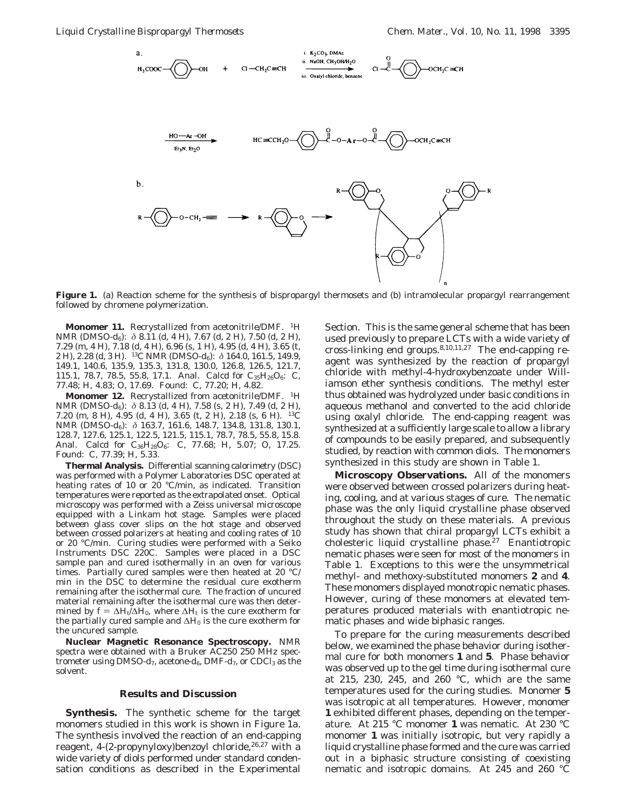

Figure 1. (a) Reaction scheme for the synthesis of bispropargyl thermosets and (b) intramolecular propargyl rearrangement followed by chromene polymerization.

**Monomer 11.** Recrystallized from acetonitrile/DMF. <sup>1</sup>H NMR (DMSO-*d*<sub>6</sub>): δ 8.11 (d, 4 H), 7.67 (d, 2 H), 7.50 (d, 2 H), 7.29 (m, 4 H), 7.18 (d, 4 H), 6.96 (s, 1 H), 4.95 (d, 4 H), 3.65 (t, 2 H), 2.28 (d, 3 H). 13C NMR (DMSO-*d*6): *δ* 164.0, 161.5, 149.9, 149.1, 140.6, 135.9, 135.3, 131.8, 130.0, 126.8, 126.5, 121.7, 115.1, 78.7, 78.5, 55.8, 17.1. Anal. Calcd for  $C_{35}H_{26}O_6$ : C, 77.48; H, 4.83; O, 17.69. Found: C, 77.20; H, 4.82.

**Monomer 12.** Recrystallized from acetonitrile/DMF. <sup>1</sup>H NMR (DMSO-*d*<sub>6</sub>): δ 8.13 (d, 4 H), 7.58 (s, 2 H), 7.49 (d, 2 H), 7.20 (m, 8 H), 4.95 (d, 4 H), 3.65 (t, 2 H), 2.18 (s, 6 H). 13C NMR (DMSO-*d*6): *δ* 163.7, 161.6, 148.7, 134.8, 131.8, 130.1, 128.7, 127.6, 125.1, 122.5, 121.5, 115.1, 78.7, 78.5, 55.8, 15.8. Anal. Calcd for C<sub>36</sub>H<sub>28</sub>O<sub>6</sub>: C, 77.68; H, 5.07; O, 17.25. Found: C, 77.39; H, 5.33.

**Thermal Analysis.** Differential scanning calorimetry (DSC) was performed with a Polymer Laboratories DSC operated at heating rates of 10 or 20 °C/min, as indicated. Transition temperatures were reported as the extrapolated onset. Optical microscopy was performed with a Zeiss universal microscope equipped with a Linkam hot stage. Samples were placed between glass cover slips on the hot stage and observed between crossed polarizers at heating and cooling rates of 10 or 20 °C/min. Curing studies were performed with a Seiko Instruments DSC 220C. Samples were placed in a DSC sample pan and cured isothermally in an oven for various times. Partially cured samples were then heated at 20 °C/ min in the DSC to determine the residual cure exotherm remaining after the isothermal cure. The fraction of uncured material remaining after the isothermal cure was then determined by  $f = \Delta H_t / \Delta H_0$ , where  $\Delta H_t$  is the cure exotherm for the partially cured sample and  $\Delta H_0$  is the cure exotherm for the uncured sample.

**Nuclear Magnetic Resonance Spectroscopy.** NMR spectra were obtained with a Bruker AC250 250 MHz spectrometer using DMSO- $d_7$ , acetone- $d_6$ , DMF- $d_7$ , or CDCl<sub>3</sub> as the solvent.

# **Results and Discussion**

**Synthesis.** The synthetic scheme for the target monomers studied in this work is shown in Figure 1a. The synthesis involved the reaction of an end-capping reagent, 4-(2-propynyloxy)benzoyl chloride, <sup>26,27</sup> with a wide variety of diols performed under standard condensation conditions as described in the Experimental

Section. This is the same general scheme that has been used previously to prepare LCTs with a wide variety of cross-linking end groups.8,10,11,27 The end-capping reagent was synthesized by the reaction of propargyl chloride with methyl-4-hydroxybenzoate under Williamson ether synthesis conditions. The methyl ester thus obtained was hydrolyzed under basic conditions in aqueous methanol and converted to the acid chloride using oxalyl chloride. The end-capping reagent was synthesized at a sufficiently large scale to allow a library of compounds to be easily prepared, and subsequently studied, by reaction with common diols. The monomers synthesized in this study are shown in Table 1.

**Microscopy Observations.** All of the monomers were observed between crossed polarizers during heating, cooling, and at various stages of cure. The nematic phase was the only liquid crystalline phase observed throughout the study on these materials. A previous study has shown that chiral propargyl LCTs exhibit a cholesteric liquid crystalline phase.<sup>27</sup> Enantiotropic nematic phases were seen for most of the monomers in Table 1. Exceptions to this were the unsymmetrical methyl- and methoxy-substituted monomers **2** and **4**. These monomers displayed monotropic nematic phases. However, curing of these monomers at elevated temperatures produced materials with enantiotropic nematic phases and wide biphasic ranges.

To prepare for the curing measurements described below, we examined the phase behavior during isothermal cure for both monomers **1** and **5**. Phase behavior was observed up to the gel time during isothermal cure at 215, 230, 245, and 260 °C, which are the same temperatures used for the curing studies. Monomer **5** was isotropic at all temperatures. However, monomer **1** exhibited different phases, depending on the temperature. At 215 °C monomer **1** was nematic. At 230 °C monomer **1** was initially isotropic, but very rapidly a liquid crystalline phase formed and the cure was carried out in a biphasic structure consisting of coexisting nematic and isotropic domains. At 245 and 260 °C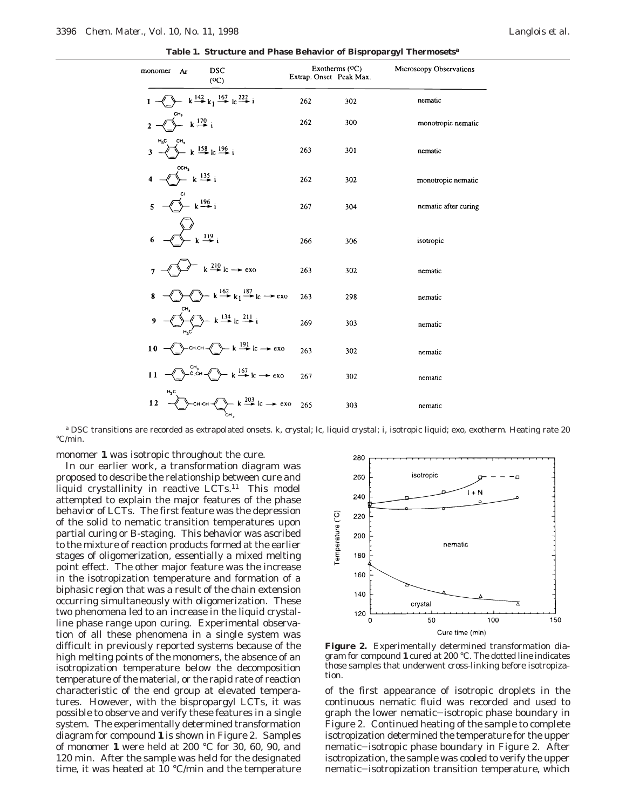**Table 1. Structure and Phase Behavior of Bispropargyl Thermosets***<sup>a</sup>*

| monomer<br>Ar |                 | <b>DSC</b><br>(OC)                                                                                                            | Exotherms $(OC)$<br>Extrap. Onset Peak Max. |     | Microscopy Observations |
|---------------|-----------------|-------------------------------------------------------------------------------------------------------------------------------|---------------------------------------------|-----|-------------------------|
|               |                 | $\longleftrightarrow$ k $\stackrel{142}{\longrightarrow}$ k <sub>1</sub> $\stackrel{167}{\longrightarrow}$ k <sup>222</sup> i | 262                                         | 302 | nematic                 |
| $\mathbf{2}$  | CH <sub>3</sub> | $k \stackrel{170}{\rightarrow} i$                                                                                             | 262                                         | 300 | monotropic nematic      |
| $H_3C$ $CH_3$ |                 | $- k \stackrel{158}{\rightarrow} 10^{196} i$                                                                                  | 263                                         | 301 | nematic                 |
|               | осн,            | $- k \stackrel{135}{\rightarrow} i$                                                                                           | 262                                         | 302 | monotropic nematic      |
| 5             |                 | $- k \frac{196}{2} i$                                                                                                         | 267                                         | 304 | nematic after curing    |
| 6             |                 | $\frac{119}{112}$ i                                                                                                           | 266                                         | 306 | isotropic               |
|               |                 | $k \stackrel{210}{\rightarrow} lc \rightarrow exo$                                                                            | 263                                         | 302 | nematic                 |
| 8             |                 | $-k \stackrel{162}{\rightarrow} k_1 \stackrel{187}{\rightarrow} k \rightarrow \infty$                                         | 263                                         | 298 | nematic                 |
| 9             | CH,             | $-k \stackrel{134}{\longrightarrow}$ lc $\stackrel{211}{\longrightarrow} i$                                                   | 269                                         | 303 | nematic                 |
| 10            |                 | $\rightarrow k \stackrel{191}{\rightarrow} lc \rightarrow exo$                                                                | 263                                         | 302 | nematic                 |
| 11            |                 | $c_{\text{FCH}}^{\text{CH}_3}$<br>$\rightarrow k \stackrel{167}{\rightarrow} k \rightarrow \text{exo}$                        | 267                                         | 302 | nematic                 |
| $H_3C$<br>12  |                 | $\rightarrow$ cH cH $\leftarrow$ k $\stackrel{203}{\rightarrow}$ lc $\rightarrow$ exo                                         | 265                                         | 303 | nematic                 |

*<sup>a</sup>* DSC transitions are recorded as extrapolated onsets. k, crystal; lc, liquid crystal; i, isotropic liquid; exo, exotherm. Heating rate 20 °C/min.

monomer **1** was isotropic throughout the cure.

In our earlier work, a transformation diagram was proposed to describe the relationship between cure and liquid crystallinity in reactive LCTs.<sup>11</sup> This model attempted to explain the major features of the phase behavior of LCTs. The first feature was the depression of the solid to nematic transition temperatures upon partial curing or B-staging. This behavior was ascribed to the mixture of reaction products formed at the earlier stages of oligomerization, essentially a mixed melting point effect. The other major feature was the increase in the isotropization temperature and formation of a biphasic region that was a result of the chain extension occurring simultaneously with oligomerization. These two phenomena led to an increase in the liquid crystalline phase range upon curing. Experimental observation of all these phenomena in a single system was difficult in previously reported systems because of the high melting points of the monomers, the absence of an isotropization temperature below the decomposition temperature of the material, or the rapid rate of reaction characteristic of the end group at elevated temperatures. However, with the bispropargyl LCTs, it was possible to observe and verify these features in a single system. The experimentally determined transformation diagram for compound **1** is shown in Figure 2. Samples of monomer **1** were held at 200 °C for 30, 60, 90, and 120 min. After the sample was held for the designated time, it was heated at 10 °C/min and the temperature



**Figure 2.** Experimentally determined transformation diagram for compound **1** cured at 200 °C. The dotted line indicates those samples that underwent cross-linking before isotropization.

of the first appearance of isotropic droplets in the continuous nematic fluid was recorded and used to graph the lower nematic-isotropic phase boundary in Figure 2. Continued heating of the sample to complete isotropization determined the temperature for the upper nematic-isotropic phase boundary in Figure 2. After isotropization, the sample was cooled to verify the upper nematic-isotropization transition temperature, which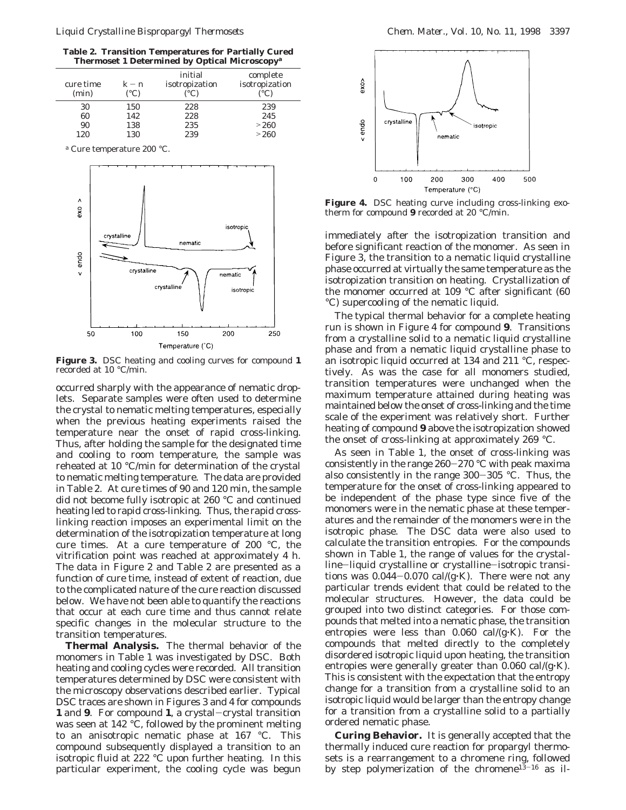**Table 2. Transition Temperatures for Partially Cured Thermoset 1 Determined by Optical Microscopy***<sup>a</sup>*

| cure time<br>(min) | $k - n$<br>(°C) | initial<br>isotropization<br>(°C) | complete<br>isotropization<br>$(^{\circ}C)$ |
|--------------------|-----------------|-----------------------------------|---------------------------------------------|
| 30                 | 150             | 228                               | 239                                         |
| 60                 | 142             | 228                               | 245                                         |
| 90                 | 138             | 235                               | >260                                        |
| 120                | 130             | 239                               | >260                                        |

*<sup>a</sup>* Cure temperature 200 °C.



**Figure 3.** DSC heating and cooling curves for compound **1** recorded at 10 °C/min.

occurred sharply with the appearance of nematic droplets. Separate samples were often used to determine the crystal to nematic melting temperatures, especially when the previous heating experiments raised the temperature near the onset of rapid cross-linking. Thus, after holding the sample for the designated time and cooling to room temperature, the sample was reheated at 10 °C/min for determination of the crystal to nematic melting temperature. The data are provided in Table 2. At cure times of 90 and 120 min, the sample did not become fully isotropic at 260 °C and continued heating led to rapid cross-linking. Thus, the rapid crosslinking reaction imposes an experimental limit on the determination of the isotropization temperature at long cure times. At a cure temperature of 200 °C, the vitrification point was reached at approximately 4 h. The data in Figure 2 and Table 2 are presented as a function of cure time, instead of extent of reaction, due to the complicated nature of the cure reaction discussed below. We have not been able to quantify the reactions that occur at each cure time and thus cannot relate specific changes in the molecular structure to the transition temperatures.

**Thermal Analysis.** The thermal behavior of the monomers in Table 1 was investigated by DSC. Both heating and cooling cycles were recorded. All transition temperatures determined by DSC were consistent with the microscopy observations described earlier. Typical DSC traces are shown in Figures 3 and 4 for compounds **<sup>1</sup>** and **<sup>9</sup>**. For compound **<sup>1</sup>**, a crystal-crystal transition was seen at 142 °C, followed by the prominent melting to an anisotropic nematic phase at 167 °C. This compound subsequently displayed a transition to an isotropic fluid at 222 °C upon further heating. In this particular experiment, the cooling cycle was begun



**Figure 4.** DSC heating curve including cross-linking exotherm for compound **9** recorded at 20 °C/min.

immediately after the isotropization transition and before significant reaction of the monomer. As seen in Figure 3, the transition to a nematic liquid crystalline phase occurred at virtually the same temperature as the isotropization transition on heating. Crystallization of the monomer occurred at 109 °C after significant (60 °C) supercooling of the nematic liquid.

The typical thermal behavior for a complete heating run is shown in Figure 4 for compound **9**. Transitions from a crystalline solid to a nematic liquid crystalline phase and from a nematic liquid crystalline phase to an isotropic liquid occurred at 134 and 211 °C, respectively. As was the case for all monomers studied, transition temperatures were unchanged when the maximum temperature attained during heating was maintained below the onset of cross-linking and the time scale of the experiment was relatively short. Further heating of compound **9** above the isotropization showed the onset of cross-linking at approximately 269 °C.

As seen in Table 1, the onset of cross-linking was consistently in the range 260-270 °C with peak maxima also consistently in the range 300-305 °C. Thus, the temperature for the onset of cross-linking appeared to be independent of the phase type since five of the monomers were in the nematic phase at these temperatures and the remainder of the monomers were in the isotropic phase. The DSC data were also used to calculate the transition entropies. For the compounds shown in Table 1, the range of values for the crystalline-liquid crystalline or crystalline-isotropic transitions was  $0.044 - 0.070$  cal/(g $\cdot$ K). There were not any particular trends evident that could be related to the molecular structures. However, the data could be grouped into two distinct categories. For those compounds that melted into a nematic phase, the transition entropies were less than  $0.060$  cal/(g $\cdot$ K). For the compounds that melted directly to the completely disordered isotropic liquid upon heating, the transition entropies were generally greater than  $0.060 \text{ cal/(g·K)}$ . This is consistent with the expectation that the entropy change for a transition from a crystalline solid to an isotropic liquid would be larger than the entropy change for a transition from a crystalline solid to a partially ordered nematic phase.

**Curing Behavior.** It is generally accepted that the thermally induced cure reaction for propargyl thermosets is a rearrangement to a chromene ring, followed by step polymerization of the chromene<sup>13-16</sup> as il-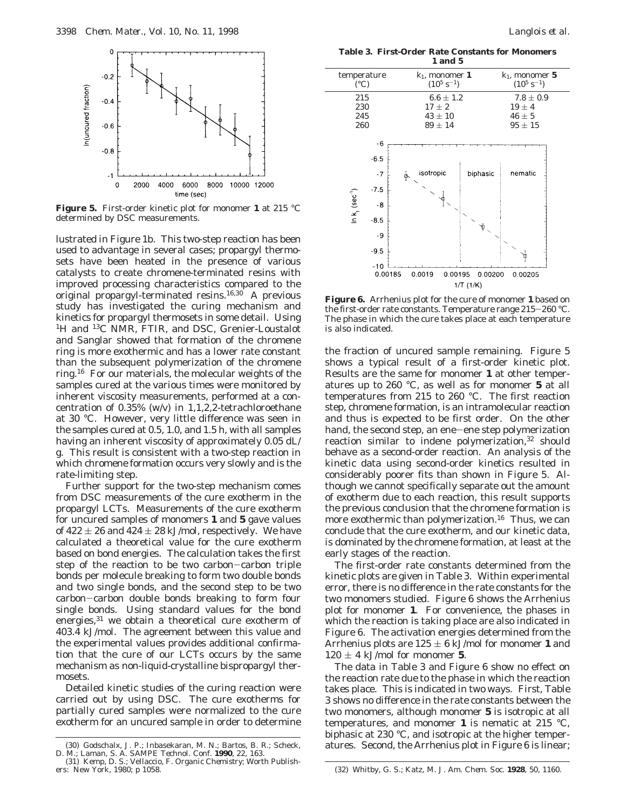

**Figure 5.** First-order kinetic plot for monomer **1** at 215 °C determined by DSC measurements.

lustrated in Figure 1b. This two-step reaction has been used to advantage in several cases; propargyl thermosets have been heated in the presence of various catalysts to create chromene-terminated resins with improved processing characteristics compared to the original propargyl-terminated resins.<sup>16,30</sup> A previous study has investigated the curing mechanism and kinetics for propargyl thermosets in some detail. Using <sup>1</sup>H and <sup>13</sup>C NMR, FTIR, and DSC, Grenier-Loustalot and Sanglar showed that formation of the chromene ring is more exothermic and has a lower rate constant than the subsequent polymerization of the chromene ring.16 For our materials, the molecular weights of the samples cured at the various times were monitored by inherent viscosity measurements, performed at a concentration of 0.35% (w/v) in 1,1,2,2-tetrachloroethane at 30 °C. However, very little difference was seen in the samples cured at 0.5, 1.0, and 1.5 h, with all samples having an inherent viscosity of approximately 0.05 dL/ g. This result is consistent with a two-step reaction in which chromene formation occurs very slowly and is the rate-limiting step.

Further support for the two-step mechanism comes from DSC measurements of the cure exotherm in the propargyl LCTs. Measurements of the cure exotherm for uncured samples of monomers **1** and **5** gave values of  $422 \pm 26$  and  $424 \pm 28$  kJ/mol, respectively. We have calculated a theoretical value for the cure exotherm based on bond energies. The calculation takes the first step of the reaction to be two carbon-carbon triple bonds per molecule breaking to form two double bonds and two single bonds, and the second step to be two carbon-carbon double bonds breaking to form four single bonds. Using standard values for the bond energies,<sup>31</sup> we obtain a theoretical cure exotherm of 403.4 kJ/mol. The agreement between this value and the experimental values provides additional confirmation that the cure of our LCTs occurs by the same mechanism as non-liquid-crystalline bispropargyl thermosets.

Detailed kinetic studies of the curing reaction were carried out by using DSC. The cure exotherms for partially cured samples were normalized to the cure exotherm for an uncured sample in order to determine

**Table 3. First-Order Rate Constants for Monomers 1 and 5**

| temperature<br>$(^{\circ}C)$                                                  |                                          | $k_1$ , monomer 1<br>$(10^5 \text{ s}^{-1})$ |         |  |
|-------------------------------------------------------------------------------|------------------------------------------|----------------------------------------------|---------|--|
| 215<br>230<br>245<br>260                                                      | $17 \pm 2$<br>$43 \pm 10$<br>$89 \pm 14$ | $6.6 \pm 1.2$                                |         |  |
| $-6.5$<br>$-75$<br>In $k_1$ (sec <sup>-1</sup> )<br>$-8.5$<br>$-9.5$<br>$-10$ | -6<br>isotropic<br>$-7$<br>∲<br>-8<br>-9 | biphasic<br>ΥĎ                               | nematic |  |
| 0.00185                                                                       | 0.00200<br>0.00205                       |                                              |         |  |

**Figure 6.** Arrhenius plot for the cure of monomer **1** based on the first-order rate constants. Temperature range 215-260 °C. The phase in which the cure takes place at each temperature is also indicated.

the fraction of uncured sample remaining. Figure 5 shows a typical result of a first-order kinetic plot. Results are the same for monomer **1** at other temperatures up to 260 °C, as well as for monomer **5** at all temperatures from 215 to 260 °C. The first reaction step, chromene formation, is an intramolecular reaction and thus is expected to be first order. On the other hand, the second step, an ene-ene step polymerization reaction similar to indene polymerization,<sup>32</sup> should behave as a second-order reaction. An analysis of the kinetic data using second-order kinetics resulted in considerably poorer fits than shown in Figure 5. Although we cannot specifically separate out the amount of exotherm due to each reaction, this result supports the previous conclusion that the chromene formation is more exothermic than polymerization.<sup>16</sup> Thus, we can conclude that the cure exotherm, and our kinetic data, is dominated by the chromene formation, at least at the early stages of the reaction.

The first-order rate constants determined from the kinetic plots are given in Table 3. Within experimental error, there is no difference in the rate constants for the two monomers studied. Figure 6 shows the Arrhenius plot for monomer **1**. For convenience, the phases in which the reaction is taking place are also indicated in Figure 6. The activation energies determined from the Arrhenius plots are  $125 \pm 6$  kJ/mol for monomer 1 and  $120 \pm 4$  kJ/mol for monomer 5.

The data in Table 3 and Figure 6 show no effect on the reaction rate due to the phase in which the reaction takes place. This is indicated in two ways. First, Table 3 shows no difference in the rate constants between the two monomers, although monomer **5** is isotropic at all temperatures, and monomer **1** is nematic at 215 °C, biphasic at 230 °C, and isotropic at the higher temper-

<sup>(30)</sup> Godschalx, J. P.; Inbasekaran, M. N.; Bartos, B. R.; Scheck, atures. Second, the Arrhenius plot in Figure 6 is linear;<br>D. M.; Laman, S. A. *SAMPE Technol. Conf.* 1990, 22, 163.<br>(31) Kemp, D. S.; Vellaccio, F. *Organic* 

ers: New York, 1980; p 1058. (32) Whitby, G. S.; Katz, M. *J. Am. Chem. Soc.* **1928**, *50*, 1160.